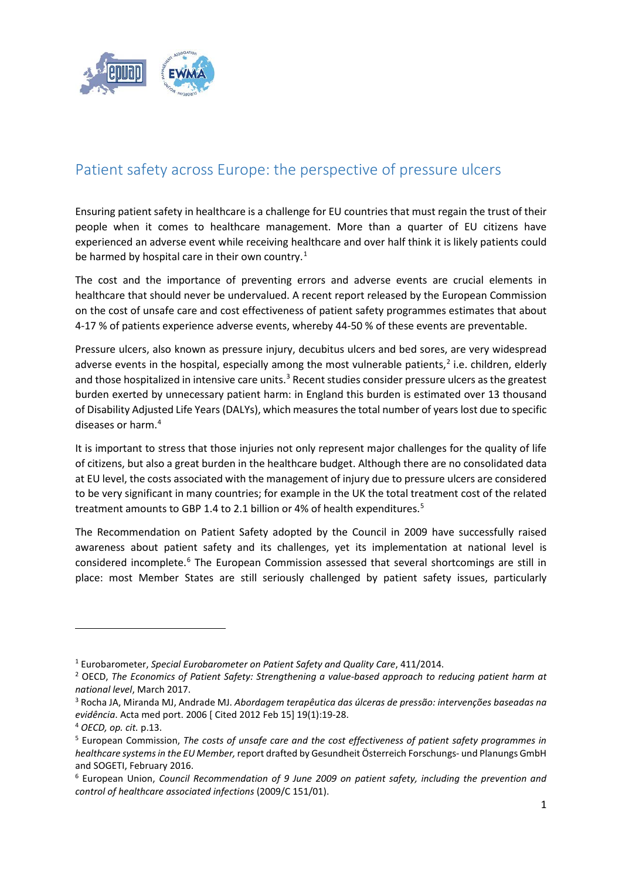

## Patient safety across Europe: the perspective of pressure ulcers

Ensuring patient safety in healthcare is a challenge for EU countries that must regain the trust of their people when it comes to healthcare management. More than a quarter of EU citizens have experienced an adverse event while receiving healthcare and over half think it is likely patients could be harmed by hospital care in their own country.<sup>[1](#page-0-0)</sup>

The cost and the importance of preventing errors and adverse events are crucial elements in healthcare that should never be undervalued. A recent report released by the European Commission on the cost of unsafe care and cost effectiveness of patient safety programmes estimates that about 4-17 % of patients experience adverse events, whereby 44-50 % of these events are preventable.

Pressure ulcers, also known as pressure injury, decubitus ulcers and bed sores, are very widespread adverse events in the hospital, especially among the most vulnerable patients, $<sup>2</sup>$  $<sup>2</sup>$  $<sup>2</sup>$  i.e. children, elderly</sup> and those hospitalized in intensive care units.<sup>[3](#page-0-2)</sup> Recent studies consider pressure ulcers as the greatest burden exerted by unnecessary patient harm: in England this burden is estimated over 13 thousand of Disability Adjusted Life Years (DALYs), which measures the total number of years lost due to specific diseases or harm.[4](#page-0-3)

It is important to stress that those injuries not only represent major challenges for the quality of life of citizens, but also a great burden in the healthcare budget. Although there are no consolidated data at EU level, the costs associated with the management of injury due to pressure ulcers are considered to be very significant in many countries; for example in the UK the total treatment cost of the related treatment amounts to GBP 1.4 to 2.1 billion or 4% of health expenditures.<sup>5</sup>

The Recommendation on Patient Safety adopted by the Council in 2009 have successfully raised awareness about patient safety and its challenges, yet its implementation at national level is considered incomplete.[6](#page-0-5) The European Commission assessed that several shortcomings are still in place: most Member States are still seriously challenged by patient safety issues, particularly

1

<span id="page-0-0"></span><sup>1</sup> Eurobarometer, *Special Eurobarometer on Patient Safety and Quality Care*, 411/2014.

<span id="page-0-1"></span><sup>2</sup> OECD, *The Economics of Patient Safety: Strengthening a value-based approach to reducing patient harm at national level*, March 2017.

<span id="page-0-2"></span><sup>3</sup> Rocha JA, Miranda MJ, Andrade MJ. *Abordagem terapêutica das úlceras de pressão: intervenções baseadas na evidência*. Acta med port. 2006 [ Cited 2012 Feb 15] 19(1):19-28.

<span id="page-0-3"></span><sup>4</sup> *OECD, op. cit.* p.13.

<span id="page-0-4"></span><sup>5</sup> European Commission, *The costs of unsafe care and the cost effectiveness of patient safety programmes in healthcare systems in the EU Member,* report drafted by Gesundheit Österreich Forschungs- und Planungs GmbH and SOGETI, February 2016.

<span id="page-0-5"></span><sup>6</sup> European Union, *Council Recommendation of 9 June 2009 on patient safety, including the prevention and control of healthcare associated infections* (2009/C 151/01).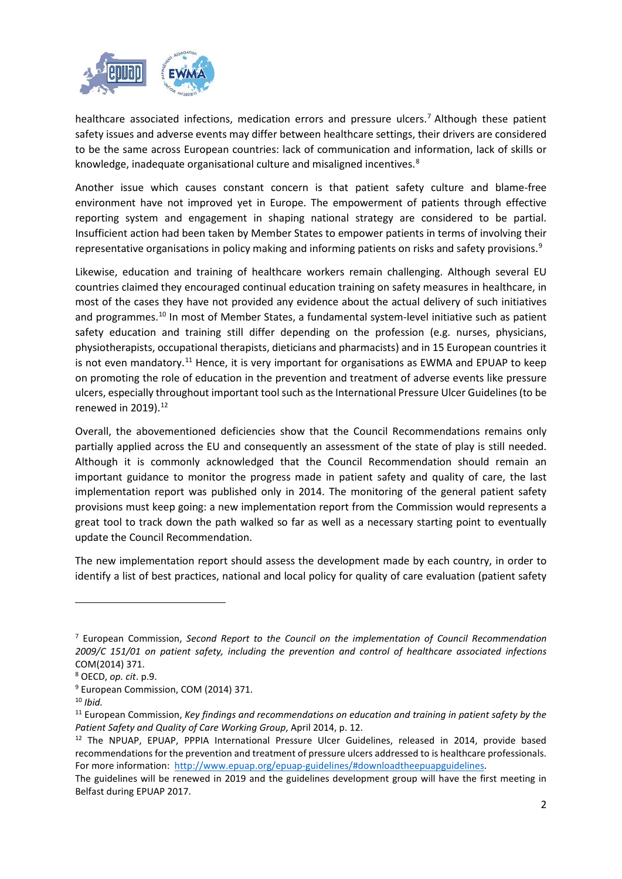

healthcare associated infections, medication errors and pressure ulcers.<sup>[7](#page-1-0)</sup> Although these patient safety issues and adverse events may differ between healthcare settings, their drivers are considered to be the same across European countries: lack of communication and information, lack of skills or knowledge, inadequate organisational culture and misaligned incentives.<sup>[8](#page-1-1)</sup>

Another issue which causes constant concern is that patient safety culture and blame-free environment have not improved yet in Europe. The empowerment of patients through effective reporting system and engagement in shaping national strategy are considered to be partial. Insufficient action had been taken by Member States to empower patients in terms of involving their representative organisations in policy making and informing patients on risks and safety provisions.<sup>[9](#page-1-2)</sup>

Likewise, education and training of healthcare workers remain challenging. Although several EU countries claimed they encouraged continual education training on safety measures in healthcare, in most of the cases they have not provided any evidence about the actual delivery of such initiatives and programmes.<sup>[10](#page-1-3)</sup> In most of Member States, a fundamental system-level initiative such as patient safety education and training still differ depending on the profession (e.g. nurses, physicians, physiotherapists, occupational therapists, dieticians and pharmacists) and in 15 European countries it is not even mandatory.<sup>[11](#page-1-4)</sup> Hence, it is very important for organisations as EWMA and EPUAP to keep on promoting the role of education in the prevention and treatment of adverse events like pressure ulcers, especially throughout important tool such as the International Pressure Ulcer Guidelines (to be renewed in  $2019$ ).<sup>[12](#page-1-5)</sup>

Overall, the abovementioned deficiencies show that the Council Recommendations remains only partially applied across the EU and consequently an assessment of the state of play is still needed. Although it is commonly acknowledged that the Council Recommendation should remain an important guidance to monitor the progress made in patient safety and quality of care, the last implementation report was published only in 2014. The monitoring of the general patient safety provisions must keep going: a new implementation report from the Commission would represents a great tool to track down the path walked so far as well as a necessary starting point to eventually update the Council Recommendation.

The new implementation report should assess the development made by each country, in order to identify a list of best practices, national and local policy for quality of care evaluation (patient safety

1

<span id="page-1-0"></span><sup>7</sup> European Commission, *Second Report to the Council on the implementation of Council Recommendation 2009/C 151/01 on patient safety, including the prevention and control of healthcare associated infections* COM(2014) 371.

<span id="page-1-1"></span><sup>8</sup> OECD, *op. cit*. p.9.

<span id="page-1-2"></span><sup>&</sup>lt;sup>9</sup> European Commission, COM (2014) 371.

<span id="page-1-3"></span><sup>10</sup> *Ibid.*

<span id="page-1-4"></span><sup>11</sup> European Commission, *Key findings and recommendations on education and training in patient safety by the Patient Safety and Quality of Care Working Group*, April 2014, p. 12.<br><sup>12</sup> The NPUAP, EPUAP, PPPIA International Pressure Ulcer Guidelines, released in 2014, provide based

<span id="page-1-5"></span>recommendations for the prevention and treatment of pressure ulcers addressed to is healthcare professionals. For more information: [http://www.epuap.org/epuap-guidelines/#downloadtheepuapguidelines.](http://www.epuap.org/epuap-guidelines/#downloadtheepuapguidelines)

The guidelines will be renewed in 2019 and the guidelines development group will have the first meeting in Belfast during EPUAP 2017.